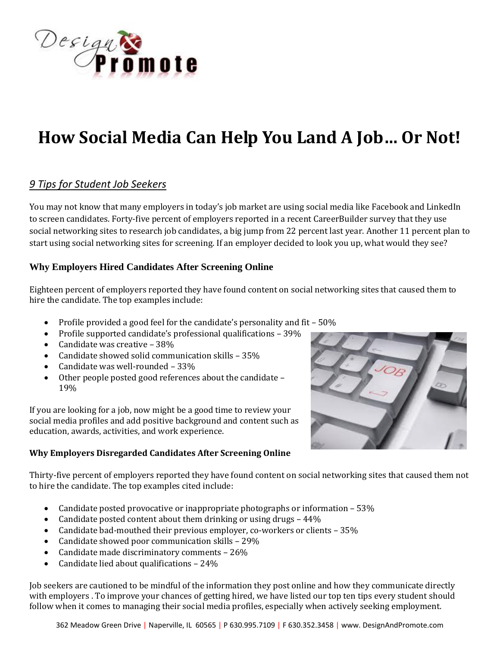

# **How Social Media Can Help You Land A Job… Or Not!**

## *9 Tips for Student Job Seekers*

You may not know that many employers in today's job market are using social media like Facebook and LinkedIn to screen candidates. Forty-five percent of employers reported in a recent CareerBuilder survey that they use social networking sites to research job candidates, a big jump from 22 percent last year. Another 11 percent plan to start using social networking sites for screening. If an employer decided to look you up, what would they see?

#### **Why Employers Hired Candidates After Screening Online**

Eighteen percent of employers reported they have found content on social networking sites that caused them to hire the candidate. The top examples include:

- Profile provided a good feel for the candidate's personality and fit 50%
- Profile supported candidate's professional qualifications 39%
- Candidate was creative 38%
- Candidate showed solid communication skills 35%
- Candidate was well-rounded 33%
- Other people posted good references about the candidate 19%

If you are looking for a job, now might be a good time to review your social media profiles and add positive background and content such as education, awards, activities, and work experience.

#### **Why Employers Disregarded Candidates After Screening Online**



Thirty-five percent of employers reported they have found content on social networking sites that caused them not to hire the candidate. The top examples cited include:

- Candidate posted provocative or inappropriate photographs or information 53%
- Candidate posted content about them drinking or using drugs 44%
- Candidate bad-mouthed their previous employer, co-workers or clients 35%
- Candidate showed poor communication skills 29%
- Candidate made discriminatory comments 26%
- Candidate lied about qualifications 24%

Job seekers are cautioned to be mindful of the information they post online and how they communicate directly with employers . To improve your chances of getting hired, we have listed our top ten tips every student should follow when it comes to managing their social media profiles, especially when actively seeking employment.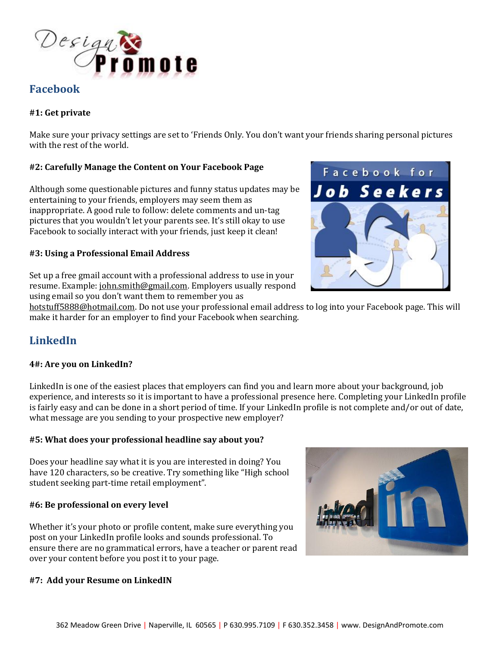

## **Facebook**

#### **#1: Get private**

Make sure your privacy settings are set to 'Friends Only. You don't want your friends sharing personal pictures with the rest of the world.

#### **#2: Carefully Manage the Content on Your Facebook Page**

Although some questionable pictures and funny status updates may be entertaining to your friends, employers may seem them as inappropriate. A good rule to follow: delete comments and un-tag pictures that you wouldn't let your parents see. It's still okay to use Facebook to socially interact with your friends, just keep it clean!

#### **#3: Using a Professional Email Address**



Set up a free gmail account with a professional address to use in your resume. Example: [john.smith@gmail.com.](mailto:john.smith@gmail.com) Employers usually respond using email so you don't want them to remember you as

[hotstuff5888@hotmail.com.](mailto:hotstuff5888@hotmail.com) Do not use your professional email address to log into your Facebook page. This will make it harder for an employer to find your Facebook when searching.

# **LinkedIn**

#### **4#: Are you on LinkedIn?**

LinkedIn is one of the easiest places that employers can find you and learn more about your background, job experience, and interests so it is important to have a professional presence here. Completing your LinkedIn profile is fairly easy and can be done in a short period of time. If your LinkedIn profile is not complete and/or out of date, what message are you sending to your prospective new employer?

#### **#5: What does your professional headline say about you?**

Does your headline say what it is you are interested in doing? You have 120 characters, so be creative. Try something like "High school student seeking part-time retail employment".

#### **#6: Be professional on every level**

Whether it's your photo or profile content, make sure everything you post on your LinkedIn profile looks and sounds professional. To ensure there are no grammatical errors, have a teacher or parent read over your content before you post it to your page.

#### **#7: Add your Resume on LinkedIN**